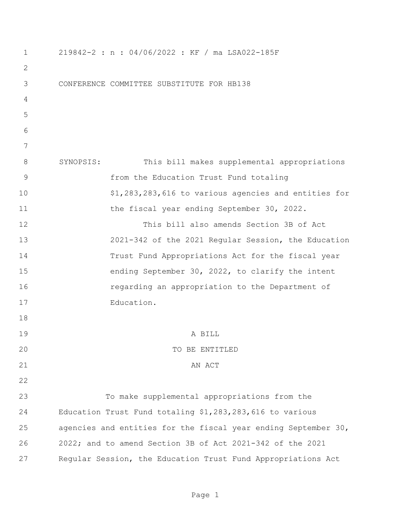| $\mathbf 1$ | 219842-2 : n : 04/06/2022 : KF / ma LSA022-185F                |
|-------------|----------------------------------------------------------------|
| 2           |                                                                |
| 3           | CONFERENCE COMMITTEE SUBSTITUTE FOR HB138                      |
| 4           |                                                                |
| 5           |                                                                |
| 6           |                                                                |
| 7           |                                                                |
| 8           | SYNOPSIS:<br>This bill makes supplemental appropriations       |
| 9           | from the Education Trust Fund totaling                         |
| 10          | \$1,283,283,616 to various agencies and entities for           |
| 11          | the fiscal year ending September 30, 2022.                     |
| 12          | This bill also amends Section 3B of Act                        |
| 13          | 2021-342 of the 2021 Regular Session, the Education            |
| 14          | Trust Fund Appropriations Act for the fiscal year              |
| 15          | ending September 30, 2022, to clarify the intent               |
| 16          | regarding an appropriation to the Department of                |
| 17          | Education.                                                     |
| 18          |                                                                |
| 19          | A BILL                                                         |
| 20          | TO BE ENTITLED                                                 |
| 21          | AN ACT                                                         |
| 22          |                                                                |
| 23          | To make supplemental appropriations from the                   |
| 24          | Education Trust Fund totaling \$1,283,283,616 to various       |
| 25          | agencies and entities for the fiscal year ending September 30, |
| 26          | 2022; and to amend Section 3B of Act 2021-342 of the 2021      |
| 27          | Regular Session, the Education Trust Fund Appropriations Act   |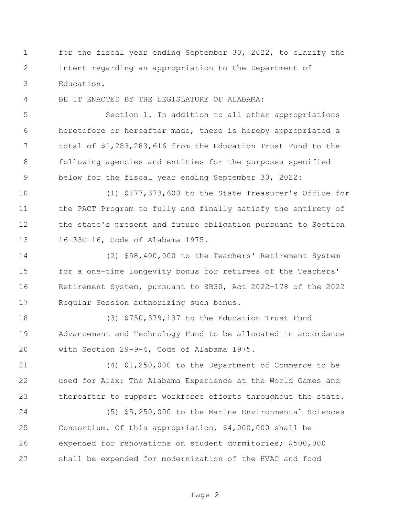for the fiscal year ending September 30, 2022, to clarify the intent regarding an appropriation to the Department of Education.

BE IT ENACTED BY THE LEGISLATURE OF ALABAMA:

 Section 1. In addition to all other appropriations heretofore or hereafter made, there is hereby appropriated a total of \$1,283,283,616 from the Education Trust Fund to the following agencies and entities for the purposes specified below for the fiscal year ending September 30, 2022:

 (1) \$177,373,600 to the State Treasurer's Office for the PACT Program to fully and finally satisfy the entirety of the state's present and future obligation pursuant to Section 16-33C-16, Code of Alabama 1975.

 (2) \$58,400,000 to the Teachers' Retirement System for a one-time longevity bonus for retirees of the Teachers' Retirement System, pursuant to SB30, Act 2022-178 of the 2022 Regular Session authorizing such bonus.

 (3) \$750,379,137 to the Education Trust Fund Advancement and Technology Fund to be allocated in accordance with Section 29-9-4, Code of Alabama 1975.

 (4) \$1,250,000 to the Department of Commerce to be used for Alex: The Alabama Experience at the World Games and thereafter to support workforce efforts throughout the state.

 (5) \$5,250,000 to the Marine Environmental Sciences Consortium. Of this appropriation, \$4,000,000 shall be expended for renovations on student dormitories; \$500,000 shall be expended for modernization of the HVAC and food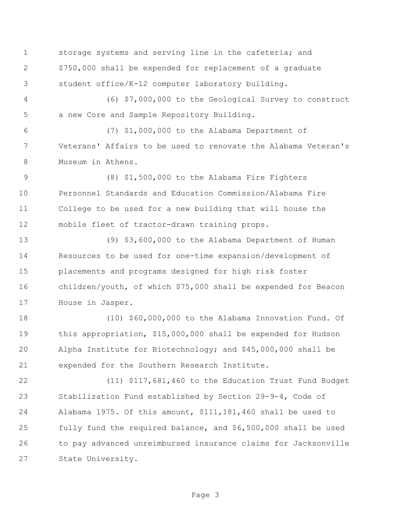storage systems and serving line in the cafeteria; and \$750,000 shall be expended for replacement of a graduate student office/K-12 computer laboratory building.

 (6) \$7,000,000 to the Geological Survey to construct a new Core and Sample Repository Building.

 (7) \$1,000,000 to the Alabama Department of Veterans' Affairs to be used to renovate the Alabama Veteran's Museum in Athens.

 (8) \$1,500,000 to the Alabama Fire Fighters Personnel Standards and Education Commission/Alabama Fire College to be used for a new building that will house the mobile fleet of tractor-drawn training props.

 (9) \$3,600,000 to the Alabama Department of Human Resources to be used for one-time expansion/development of placements and programs designed for high risk foster children/youth, of which \$75,000 shall be expended for Beacon House in Jasper.

 (10) \$60,000,000 to the Alabama Innovation Fund. Of this appropriation, \$15,000,000 shall be expended for Hudson Alpha Institute for Biotechnology; and \$45,000,000 shall be expended for the Southern Research Institute.

 (11) \$117,681,460 to the Education Trust Fund Budget Stabilization Fund established by Section 29-9-4, Code of Alabama 1975. Of this amount, \$111,181,460 shall be used to fully fund the required balance, and \$6,500,000 shall be used to pay advanced unreimbursed insurance claims for Jacksonville State University.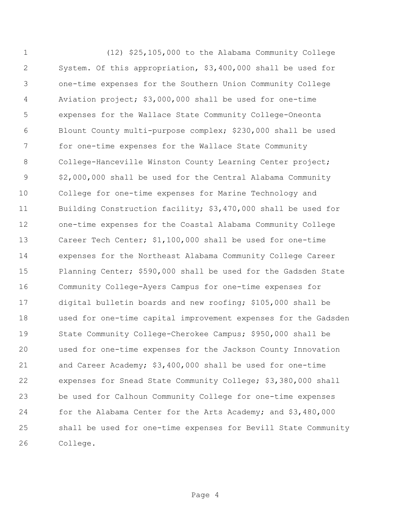(12) \$25,105,000 to the Alabama Community College System. Of this appropriation, \$3,400,000 shall be used for one-time expenses for the Southern Union Community College Aviation project; \$3,000,000 shall be used for one-time expenses for the Wallace State Community College-Oneonta Blount County multi-purpose complex; \$230,000 shall be used for one-time expenses for the Wallace State Community 8 College-Hanceville Winston County Learning Center project; \$2,000,000 shall be used for the Central Alabama Community College for one-time expenses for Marine Technology and Building Construction facility; \$3,470,000 shall be used for one-time expenses for the Coastal Alabama Community College Career Tech Center; \$1,100,000 shall be used for one-time expenses for the Northeast Alabama Community College Career Planning Center; \$590,000 shall be used for the Gadsden State Community College-Ayers Campus for one-time expenses for digital bulletin boards and new roofing; \$105,000 shall be used for one-time capital improvement expenses for the Gadsden State Community College-Cherokee Campus; \$950,000 shall be used for one-time expenses for the Jackson County Innovation and Career Academy; \$3,400,000 shall be used for one-time expenses for Snead State Community College; \$3,380,000 shall be used for Calhoun Community College for one-time expenses for the Alabama Center for the Arts Academy; and \$3,480,000 shall be used for one-time expenses for Bevill State Community College.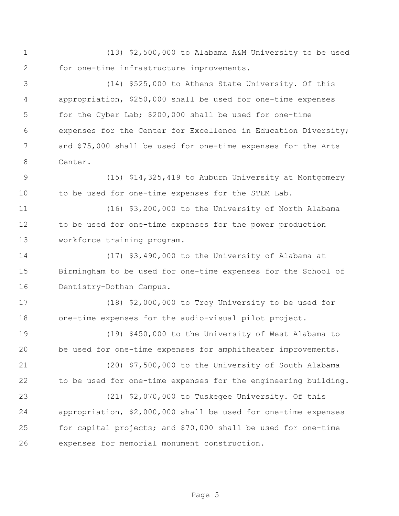(13) \$2,500,000 to Alabama A&M University to be used for one-time infrastructure improvements.

 (14) \$525,000 to Athens State University. Of this appropriation, \$250,000 shall be used for one-time expenses for the Cyber Lab; \$200,000 shall be used for one-time expenses for the Center for Excellence in Education Diversity; and \$75,000 shall be used for one-time expenses for the Arts Center.

 (15) \$14,325,419 to Auburn University at Montgomery 10 to be used for one-time expenses for the STEM Lab.

 (16) \$3,200,000 to the University of North Alabama to be used for one-time expenses for the power production workforce training program.

 (17) \$3,490,000 to the University of Alabama at Birmingham to be used for one-time expenses for the School of Dentistry-Dothan Campus.

 (18) \$2,000,000 to Troy University to be used for one-time expenses for the audio-visual pilot project.

 (19) \$450,000 to the University of West Alabama to be used for one-time expenses for amphitheater improvements.

 (20) \$7,500,000 to the University of South Alabama to be used for one-time expenses for the engineering building.

 (21) \$2,070,000 to Tuskegee University. Of this appropriation, \$2,000,000 shall be used for one-time expenses for capital projects; and \$70,000 shall be used for one-time expenses for memorial monument construction.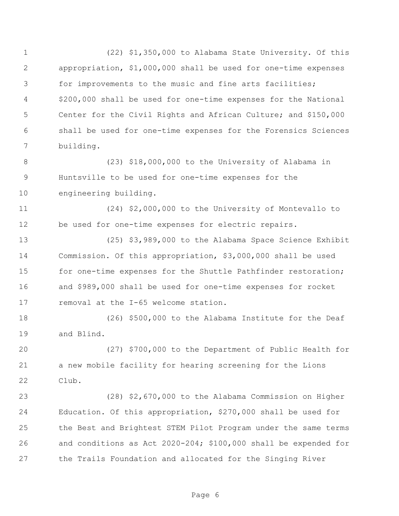(22) \$1,350,000 to Alabama State University. Of this appropriation, \$1,000,000 shall be used for one-time expenses for improvements to the music and fine arts facilities; \$200,000 shall be used for one-time expenses for the National Center for the Civil Rights and African Culture; and \$150,000 shall be used for one-time expenses for the Forensics Sciences building. (23) \$18,000,000 to the University of Alabama in Huntsville to be used for one-time expenses for the engineering building. (24) \$2,000,000 to the University of Montevallo to be used for one-time expenses for electric repairs. (25) \$3,989,000 to the Alabama Space Science Exhibit Commission. Of this appropriation, \$3,000,000 shall be used 15 for one-time expenses for the Shuttle Pathfinder restoration; and \$989,000 shall be used for one-time expenses for rocket removal at the I-65 welcome station. (26) \$500,000 to the Alabama Institute for the Deaf and Blind. (27) \$700,000 to the Department of Public Health for a new mobile facility for hearing screening for the Lions Club. (28) \$2,670,000 to the Alabama Commission on Higher Education. Of this appropriation, \$270,000 shall be used for the Best and Brightest STEM Pilot Program under the same terms and conditions as Act 2020-204; \$100,000 shall be expended for the Trails Foundation and allocated for the Singing River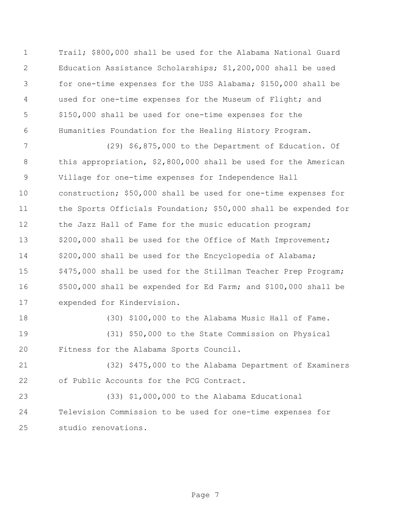Trail; \$800,000 shall be used for the Alabama National Guard Education Assistance Scholarships; \$1,200,000 shall be used for one-time expenses for the USS Alabama; \$150,000 shall be used for one-time expenses for the Museum of Flight; and \$150,000 shall be used for one-time expenses for the Humanities Foundation for the Healing History Program.

 (29) \$6,875,000 to the Department of Education. Of this appropriation, \$2,800,000 shall be used for the American Village for one-time expenses for Independence Hall construction; \$50,000 shall be used for one-time expenses for the Sports Officials Foundation; \$50,000 shall be expended for 12 the Jazz Hall of Fame for the music education program; 13 \$200,000 shall be used for the Office of Math Improvement; \$200,000 shall be used for the Encyclopedia of Alabama; \$475,000 shall be used for the Stillman Teacher Prep Program; \$500,000 shall be expended for Ed Farm; and \$100,000 shall be expended for Kindervision.

 (30) \$100,000 to the Alabama Music Hall of Fame. (31) \$50,000 to the State Commission on Physical Fitness for the Alabama Sports Council.

 (32) \$475,000 to the Alabama Department of Examiners of Public Accounts for the PCG Contract.

 (33) \$1,000,000 to the Alabama Educational Television Commission to be used for one-time expenses for studio renovations.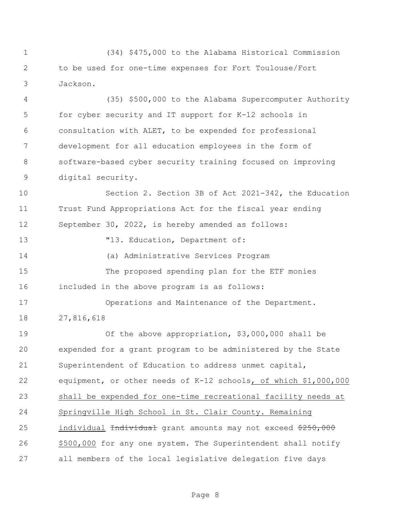(34) \$475,000 to the Alabama Historical Commission to be used for one-time expenses for Fort Toulouse/Fort Jackson.

 (35) \$500,000 to the Alabama Supercomputer Authority for cyber security and IT support for K-12 schools in consultation with ALET, to be expended for professional development for all education employees in the form of software-based cyber security training focused on improving digital security.

 Section 2. Section 3B of Act 2021-342, the Education Trust Fund Appropriations Act for the fiscal year ending September 30, 2022, is hereby amended as follows:

13  $"13. Education, Department of:$ 

(a) Administrative Services Program

 The proposed spending plan for the ETF monies included in the above program is as follows:

 Operations and Maintenance of the Department. 27,816,618

 Of the above appropriation, \$3,000,000 shall be expended for a grant program to be administered by the State Superintendent of Education to address unmet capital, equipment, or other needs of K-12 schools, of which \$1,000,000 shall be expended for one-time recreational facility needs at Springville High School in St. Clair County. Remaining 25 individual <del>Individual</del> grant amounts may not exceed \$250,000 \$500,000 for any one system. The Superintendent shall notify all members of the local legislative delegation five days

Page 8